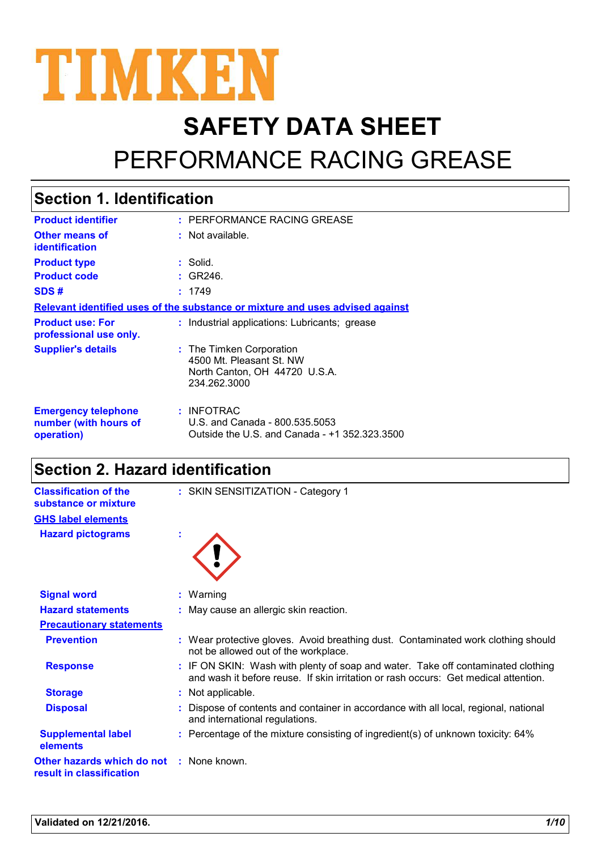

# **SAFETY DATA SHEET** PERFORMANCE RACING GREASE

# **Section 1. Identification**

| <b>Product identifier</b>                                                     | : PERFORMANCE RACING GREASE                                                                           |  |  |  |
|-------------------------------------------------------------------------------|-------------------------------------------------------------------------------------------------------|--|--|--|
| <b>Other means of</b><br>identification                                       | $:$ Not available.                                                                                    |  |  |  |
| <b>Product type</b>                                                           | : Solid.                                                                                              |  |  |  |
| <b>Product code</b>                                                           | : GR246.                                                                                              |  |  |  |
| SDS#                                                                          | : 1749                                                                                                |  |  |  |
| Relevant identified uses of the substance or mixture and uses advised against |                                                                                                       |  |  |  |
| <b>Product use: For</b><br>professional use only.                             | : Industrial applications: Lubricants; grease                                                         |  |  |  |
| <b>Supplier's details</b>                                                     | : The Timken Corporation<br>4500 Mt. Pleasant St. NW<br>North Canton, OH 44720 U.S.A.<br>234.262.3000 |  |  |  |
| <b>Emergency telephone</b><br>number (with hours of<br>operation)             | : INFOTRAC<br>U.S. and Canada - 800.535.5053<br>Outside the U.S. and Canada - +1 352.323.3500         |  |  |  |

### **Section 2. Hazard identification**

| <b>Classification of the</b><br>substance or mixture                        | : SKIN SENSITIZATION - Category 1                                                                                                                                       |
|-----------------------------------------------------------------------------|-------------------------------------------------------------------------------------------------------------------------------------------------------------------------|
| <b>GHS label elements</b>                                                   |                                                                                                                                                                         |
| <b>Hazard pictograms</b>                                                    |                                                                                                                                                                         |
| <b>Signal word</b>                                                          | $:$ Warning                                                                                                                                                             |
| <b>Hazard statements</b>                                                    | : May cause an allergic skin reaction.                                                                                                                                  |
| <b>Precautionary statements</b>                                             |                                                                                                                                                                         |
| <b>Prevention</b>                                                           | : Wear protective gloves. Avoid breathing dust. Contaminated work clothing should<br>not be allowed out of the workplace.                                               |
| <b>Response</b>                                                             | : IF ON SKIN: Wash with plenty of soap and water. Take off contaminated clothing<br>and wash it before reuse. If skin irritation or rash occurs: Get medical attention. |
| <b>Storage</b>                                                              | : Not applicable.                                                                                                                                                       |
| <b>Disposal</b>                                                             | Dispose of contents and container in accordance with all local, regional, national<br>and international regulations.                                                    |
| <b>Supplemental label</b><br>elements                                       | : Percentage of the mixture consisting of ingredient(s) of unknown toxicity: 64%                                                                                        |
| <b>Other hazards which do not : None known.</b><br>result in classification |                                                                                                                                                                         |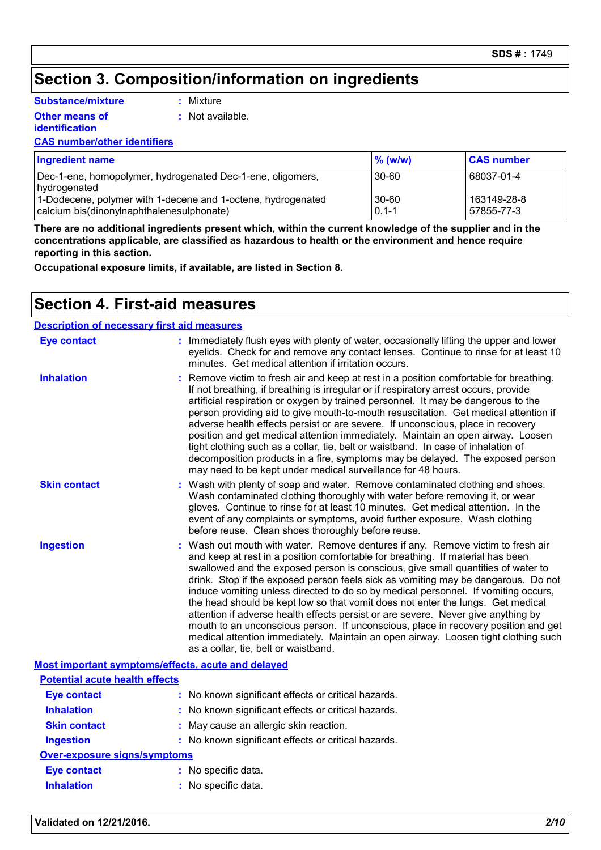### **Section 3. Composition/information on ingredients**

**:** Mixture

**Substance/mixture**

**Other means of** 

**identification**

**:** Not available.

#### **CAS number/other identifiers**

| <b>Ingredient name</b>                                                                                    | $\%$ (w/w)         | <b>CAS number</b>         |
|-----------------------------------------------------------------------------------------------------------|--------------------|---------------------------|
| Dec-1-ene, homopolymer, hydrogenated Dec-1-ene, oligomers,<br>hydrogenated                                | 30-60              | 68037-01-4                |
| 1-Dodecene, polymer with 1-decene and 1-octene, hydrogenated<br>calcium bis(dinonylnaphthalenesulphonate) | 30-60<br>$0.1 - 1$ | 163149-28-8<br>57855-77-3 |

**There are no additional ingredients present which, within the current knowledge of the supplier and in the concentrations applicable, are classified as hazardous to health or the environment and hence require reporting in this section.**

**Occupational exposure limits, if available, are listed in Section 8.**

#### **Section 4. First-aid measures**

| <b>Description of necessary first aid measures</b> |                                                                                                                                                                                                                                                                                                                                                                                                                                                                                                                                                                                                                                                                                                                                                                                                                            |  |
|----------------------------------------------------|----------------------------------------------------------------------------------------------------------------------------------------------------------------------------------------------------------------------------------------------------------------------------------------------------------------------------------------------------------------------------------------------------------------------------------------------------------------------------------------------------------------------------------------------------------------------------------------------------------------------------------------------------------------------------------------------------------------------------------------------------------------------------------------------------------------------------|--|
| <b>Eye contact</b>                                 | : Immediately flush eyes with plenty of water, occasionally lifting the upper and lower<br>eyelids. Check for and remove any contact lenses. Continue to rinse for at least 10<br>minutes. Get medical attention if irritation occurs.                                                                                                                                                                                                                                                                                                                                                                                                                                                                                                                                                                                     |  |
| <b>Inhalation</b>                                  | Remove victim to fresh air and keep at rest in a position comfortable for breathing.<br>If not breathing, if breathing is irregular or if respiratory arrest occurs, provide<br>artificial respiration or oxygen by trained personnel. It may be dangerous to the<br>person providing aid to give mouth-to-mouth resuscitation. Get medical attention if<br>adverse health effects persist or are severe. If unconscious, place in recovery<br>position and get medical attention immediately. Maintain an open airway. Loosen<br>tight clothing such as a collar, tie, belt or waistband. In case of inhalation of<br>decomposition products in a fire, symptoms may be delayed. The exposed person<br>may need to be kept under medical surveillance for 48 hours.                                                       |  |
| <b>Skin contact</b>                                | Wash with plenty of soap and water. Remove contaminated clothing and shoes.<br>Wash contaminated clothing thoroughly with water before removing it, or wear<br>gloves. Continue to rinse for at least 10 minutes. Get medical attention. In the<br>event of any complaints or symptoms, avoid further exposure. Wash clothing<br>before reuse. Clean shoes thoroughly before reuse.                                                                                                                                                                                                                                                                                                                                                                                                                                        |  |
| <b>Ingestion</b>                                   | Wash out mouth with water. Remove dentures if any. Remove victim to fresh air<br>and keep at rest in a position comfortable for breathing. If material has been<br>swallowed and the exposed person is conscious, give small quantities of water to<br>drink. Stop if the exposed person feels sick as vomiting may be dangerous. Do not<br>induce vomiting unless directed to do so by medical personnel. If vomiting occurs,<br>the head should be kept low so that vomit does not enter the lungs. Get medical<br>attention if adverse health effects persist or are severe. Never give anything by<br>mouth to an unconscious person. If unconscious, place in recovery position and get<br>medical attention immediately. Maintain an open airway. Loosen tight clothing such<br>as a collar, tie, belt or waistband. |  |
|                                                    | Most important symptoms/effects, acute and delayed                                                                                                                                                                                                                                                                                                                                                                                                                                                                                                                                                                                                                                                                                                                                                                         |  |

| <u>nool market lande a fink familial and alat market with market an</u> |                                                     |  |  |  |
|-------------------------------------------------------------------------|-----------------------------------------------------|--|--|--|
| <b>Potential acute health effects</b>                                   |                                                     |  |  |  |
| <b>Eye contact</b>                                                      | : No known significant effects or critical hazards. |  |  |  |
| <b>Inhalation</b>                                                       | : No known significant effects or critical hazards. |  |  |  |
| <b>Skin contact</b>                                                     | : May cause an allergic skin reaction.              |  |  |  |
| <b>Ingestion</b>                                                        | : No known significant effects or critical hazards. |  |  |  |
| Over-exposure signs/symptoms                                            |                                                     |  |  |  |
| <b>Eye contact</b>                                                      | : No specific data.                                 |  |  |  |
| <b>Inhalation</b>                                                       | : No specific data.                                 |  |  |  |

#### **Validated on 12/21/2016.** *2/10*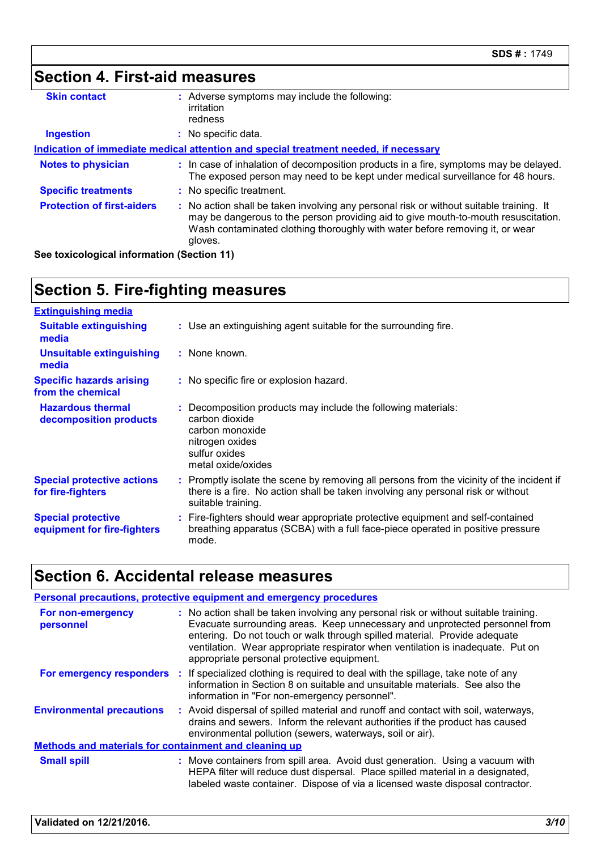| Section 4. First-aid measures     |                                                                                                                                                                                                                                                                          |
|-----------------------------------|--------------------------------------------------------------------------------------------------------------------------------------------------------------------------------------------------------------------------------------------------------------------------|
| <b>Skin contact</b>               | : Adverse symptoms may include the following:<br>irritation<br>redness                                                                                                                                                                                                   |
| <b>Ingestion</b>                  | : No specific data.                                                                                                                                                                                                                                                      |
|                                   | Indication of immediate medical attention and special treatment needed, if necessary                                                                                                                                                                                     |
| <b>Notes to physician</b>         | : In case of inhalation of decomposition products in a fire, symptoms may be delayed.<br>The exposed person may need to be kept under medical surveillance for 48 hours.                                                                                                 |
| <b>Specific treatments</b>        | : No specific treatment.                                                                                                                                                                                                                                                 |
| <b>Protection of first-aiders</b> | : No action shall be taken involving any personal risk or without suitable training. It<br>may be dangerous to the person providing aid to give mouth-to-mouth resuscitation.<br>Wash contaminated clothing thoroughly with water before removing it, or wear<br>gloves. |

**See toxicological information (Section 11)**

# **Section 5. Fire-fighting measures**

| <b>Extinguishing media</b>                               |                                                                                                                                                                                                     |
|----------------------------------------------------------|-----------------------------------------------------------------------------------------------------------------------------------------------------------------------------------------------------|
| <b>Suitable extinguishing</b><br>media                   | : Use an extinguishing agent suitable for the surrounding fire.                                                                                                                                     |
| <b>Unsuitable extinguishing</b><br>media                 | : None known.                                                                                                                                                                                       |
| <b>Specific hazards arising</b><br>from the chemical     | : No specific fire or explosion hazard.                                                                                                                                                             |
| <b>Hazardous thermal</b><br>decomposition products       | : Decomposition products may include the following materials:<br>carbon dioxide<br>carbon monoxide<br>nitrogen oxides<br>sulfur oxides<br>metal oxide/oxides                                        |
| <b>Special protective actions</b><br>for fire-fighters   | : Promptly isolate the scene by removing all persons from the vicinity of the incident if<br>there is a fire. No action shall be taken involving any personal risk or without<br>suitable training. |
| <b>Special protective</b><br>equipment for fire-fighters | : Fire-fighters should wear appropriate protective equipment and self-contained<br>breathing apparatus (SCBA) with a full face-piece operated in positive pressure<br>mode.                         |

# **Section 6. Accidental release measures**

| <b>Personal precautions, protective equipment and emergency procedures</b> |                                                                                                                                                                                                                                                                                                                                                                                   |  |  |
|----------------------------------------------------------------------------|-----------------------------------------------------------------------------------------------------------------------------------------------------------------------------------------------------------------------------------------------------------------------------------------------------------------------------------------------------------------------------------|--|--|
| For non-emergency<br>personnel                                             | : No action shall be taken involving any personal risk or without suitable training.<br>Evacuate surrounding areas. Keep unnecessary and unprotected personnel from<br>entering. Do not touch or walk through spilled material. Provide adequate<br>ventilation. Wear appropriate respirator when ventilation is inadequate. Put on<br>appropriate personal protective equipment. |  |  |
|                                                                            | For emergency responders : If specialized clothing is required to deal with the spillage, take note of any<br>information in Section 8 on suitable and unsuitable materials. See also the<br>information in "For non-emergency personnel".                                                                                                                                        |  |  |
| <b>Environmental precautions</b>                                           | : Avoid dispersal of spilled material and runoff and contact with soil, waterways,<br>drains and sewers. Inform the relevant authorities if the product has caused<br>environmental pollution (sewers, waterways, soil or air).                                                                                                                                                   |  |  |
| <b>Methods and materials for containment and cleaning up</b>               |                                                                                                                                                                                                                                                                                                                                                                                   |  |  |
| <b>Small spill</b>                                                         | : Move containers from spill area. Avoid dust generation. Using a vacuum with<br>HEPA filter will reduce dust dispersal. Place spilled material in a designated,<br>labeled waste container. Dispose of via a licensed waste disposal contractor.                                                                                                                                 |  |  |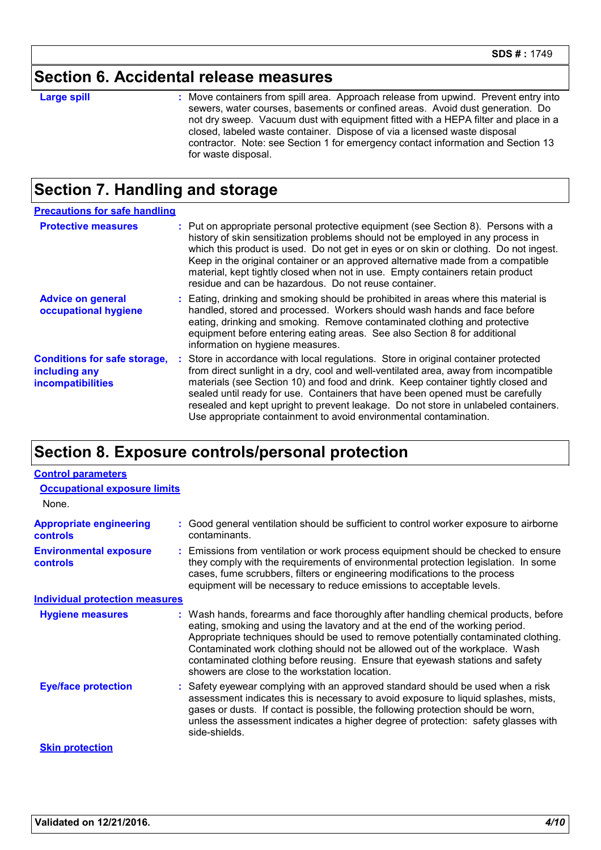#### **Section 6. Accidental release measures**

**Large spill :**

: Move containers from spill area. Approach release from upwind. Prevent entry into sewers, water courses, basements or confined areas. Avoid dust generation. Do not dry sweep. Vacuum dust with equipment fitted with a HEPA filter and place in a closed, labeled waste container. Dispose of via a licensed waste disposal contractor. Note: see Section 1 for emergency contact information and Section 13 for waste disposal.

### **Section 7. Handling and storage**

| <b>Precautions for safe handling</b>                                             |                                                                                                                                                                                                                                                                                                                                                                                                                                                                                                               |
|----------------------------------------------------------------------------------|---------------------------------------------------------------------------------------------------------------------------------------------------------------------------------------------------------------------------------------------------------------------------------------------------------------------------------------------------------------------------------------------------------------------------------------------------------------------------------------------------------------|
| <b>Protective measures</b>                                                       | : Put on appropriate personal protective equipment (see Section 8). Persons with a<br>history of skin sensitization problems should not be employed in any process in<br>which this product is used. Do not get in eyes or on skin or clothing. Do not ingest.<br>Keep in the original container or an approved alternative made from a compatible<br>material, kept tightly closed when not in use. Empty containers retain product<br>residue and can be hazardous. Do not reuse container.                 |
| <b>Advice on general</b><br>occupational hygiene                                 | : Eating, drinking and smoking should be prohibited in areas where this material is<br>handled, stored and processed. Workers should wash hands and face before<br>eating, drinking and smoking. Remove contaminated clothing and protective<br>equipment before entering eating areas. See also Section 8 for additional<br>information on hygiene measures.                                                                                                                                                 |
| <b>Conditions for safe storage,</b><br>including any<br><i>incompatibilities</i> | : Store in accordance with local regulations. Store in original container protected<br>from direct sunlight in a dry, cool and well-ventilated area, away from incompatible<br>materials (see Section 10) and food and drink. Keep container tightly closed and<br>sealed until ready for use. Containers that have been opened must be carefully<br>resealed and kept upright to prevent leakage. Do not store in unlabeled containers.<br>Use appropriate containment to avoid environmental contamination. |

### **Section 8. Exposure controls/personal protection**

| <b>Control parameters</b>                         |                                                                                                                                                                                                                                                                                                                                                                                                                                                                             |  |
|---------------------------------------------------|-----------------------------------------------------------------------------------------------------------------------------------------------------------------------------------------------------------------------------------------------------------------------------------------------------------------------------------------------------------------------------------------------------------------------------------------------------------------------------|--|
| <b>Occupational exposure limits</b>               |                                                                                                                                                                                                                                                                                                                                                                                                                                                                             |  |
| None.                                             |                                                                                                                                                                                                                                                                                                                                                                                                                                                                             |  |
| <b>Appropriate engineering</b><br><b>controls</b> | : Good general ventilation should be sufficient to control worker exposure to airborne<br>contaminants.                                                                                                                                                                                                                                                                                                                                                                     |  |
| <b>Environmental exposure</b><br><b>controls</b>  | : Emissions from ventilation or work process equipment should be checked to ensure<br>they comply with the requirements of environmental protection legislation. In some<br>cases, fume scrubbers, filters or engineering modifications to the process<br>equipment will be necessary to reduce emissions to acceptable levels.                                                                                                                                             |  |
| <b>Individual protection measures</b>             |                                                                                                                                                                                                                                                                                                                                                                                                                                                                             |  |
| <b>Hygiene measures</b>                           | : Wash hands, forearms and face thoroughly after handling chemical products, before<br>eating, smoking and using the lavatory and at the end of the working period.<br>Appropriate techniques should be used to remove potentially contaminated clothing.<br>Contaminated work clothing should not be allowed out of the workplace. Wash<br>contaminated clothing before reusing. Ensure that eyewash stations and safety<br>showers are close to the workstation location. |  |
| <b>Eye/face protection</b>                        | : Safety eyewear complying with an approved standard should be used when a risk<br>assessment indicates this is necessary to avoid exposure to liquid splashes, mists,<br>gases or dusts. If contact is possible, the following protection should be worn,<br>unless the assessment indicates a higher degree of protection: safety glasses with<br>side-shields.                                                                                                           |  |
| <b>Skin protection</b>                            |                                                                                                                                                                                                                                                                                                                                                                                                                                                                             |  |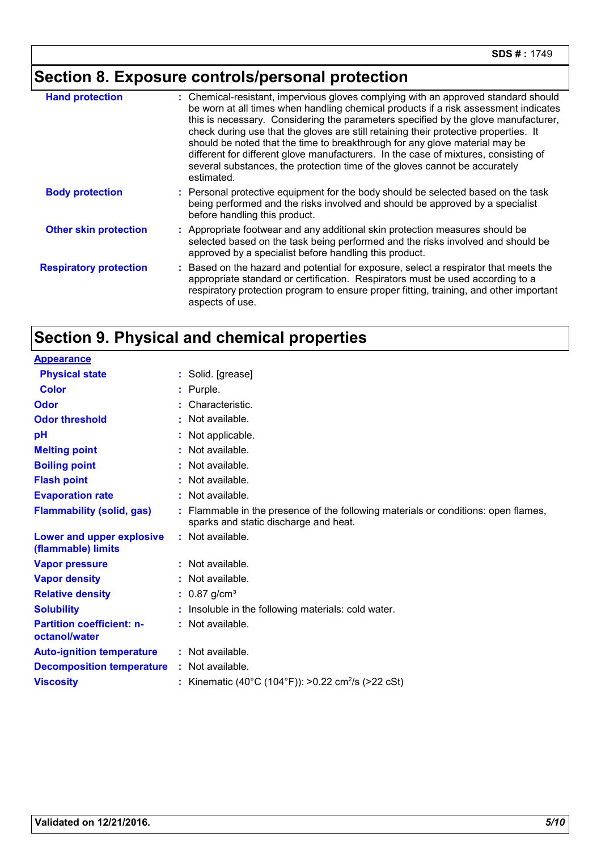# **Section 8. Exposure controls/personal protection**

| <b>Hand protection</b>        | : Chemical-resistant, impervious gloves complying with an approved standard should<br>be worn at all times when handling chemical products if a risk assessment indicates<br>this is necessary. Considering the parameters specified by the glove manufacturer,<br>check during use that the gloves are still retaining their protective properties. It<br>should be noted that the time to breakthrough for any glove material may be<br>different for different glove manufacturers. In the case of mixtures, consisting of<br>several substances, the protection time of the gloves cannot be accurately<br>estimated. |
|-------------------------------|---------------------------------------------------------------------------------------------------------------------------------------------------------------------------------------------------------------------------------------------------------------------------------------------------------------------------------------------------------------------------------------------------------------------------------------------------------------------------------------------------------------------------------------------------------------------------------------------------------------------------|
| <b>Body protection</b>        | : Personal protective equipment for the body should be selected based on the task<br>being performed and the risks involved and should be approved by a specialist<br>before handling this product.                                                                                                                                                                                                                                                                                                                                                                                                                       |
| <b>Other skin protection</b>  | : Appropriate footwear and any additional skin protection measures should be<br>selected based on the task being performed and the risks involved and should be<br>approved by a specialist before handling this product.                                                                                                                                                                                                                                                                                                                                                                                                 |
| <b>Respiratory protection</b> | Based on the hazard and potential for exposure, select a respirator that meets the<br>appropriate standard or certification. Respirators must be used according to a<br>respiratory protection program to ensure proper fitting, training, and other important<br>aspects of use.                                                                                                                                                                                                                                                                                                                                         |

### **Section 9. Physical and chemical properties**

| <b>Appearance</b>                                 |                                                                                                                             |
|---------------------------------------------------|-----------------------------------------------------------------------------------------------------------------------------|
| <b>Physical state</b>                             | : Solid. [grease]                                                                                                           |
| <b>Color</b>                                      | $:$ Purple.                                                                                                                 |
| Odor                                              | Characteristic.                                                                                                             |
| <b>Odor threshold</b>                             | : Not available.                                                                                                            |
| pH                                                | Not applicable.                                                                                                             |
| <b>Melting point</b>                              | : Not available.                                                                                                            |
| <b>Boiling point</b>                              | : Not available.                                                                                                            |
| <b>Flash point</b>                                | : Not available.                                                                                                            |
| <b>Evaporation rate</b>                           | : Not available.                                                                                                            |
| <b>Flammability (solid, gas)</b>                  | : Flammable in the presence of the following materials or conditions: open flames,<br>sparks and static discharge and heat. |
| Lower and upper explosive<br>(flammable) limits   | : Not available.                                                                                                            |
| <b>Vapor pressure</b>                             | $:$ Not available.                                                                                                          |
| <b>Vapor density</b>                              | : Not available.                                                                                                            |
| <b>Relative density</b>                           | : $0.87$ g/cm <sup>3</sup>                                                                                                  |
| <b>Solubility</b>                                 | : Insoluble in the following materials: cold water.                                                                         |
| <b>Partition coefficient: n-</b><br>octanol/water | : Not available.                                                                                                            |
| <b>Auto-ignition temperature</b>                  | : Not available.                                                                                                            |
| <b>Decomposition temperature</b>                  | : Not available.                                                                                                            |
| <b>Viscosity</b>                                  | : Kinematic (40°C (104°F)): >0.22 cm <sup>2</sup> /s (>22 cSt)                                                              |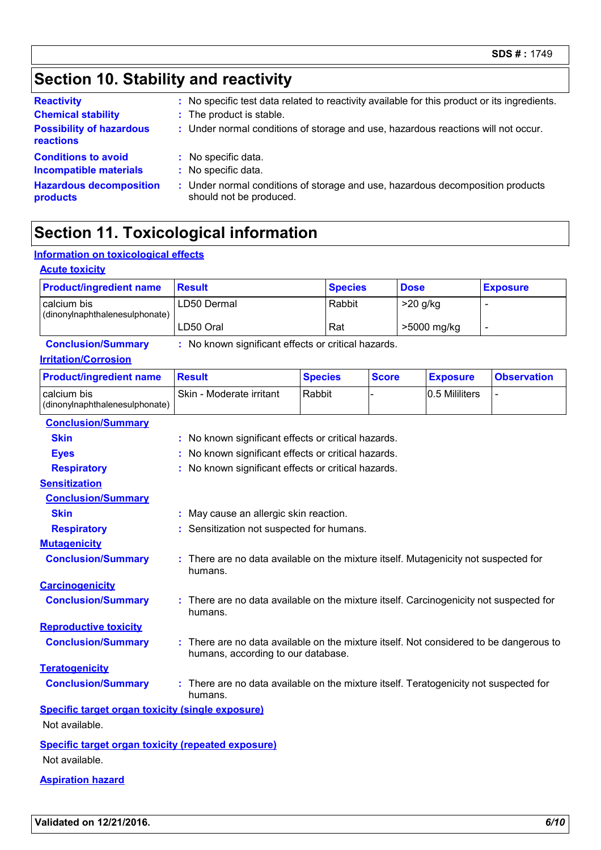# **Section 10. Stability and reactivity**

| <b>Reactivity</b>                            | : No specific test data related to reactivity available for this product or its ingredients.              |
|----------------------------------------------|-----------------------------------------------------------------------------------------------------------|
| <b>Chemical stability</b>                    | : The product is stable.                                                                                  |
| <b>Possibility of hazardous</b><br>reactions | : Under normal conditions of storage and use, hazardous reactions will not occur.                         |
| <b>Conditions to avoid</b>                   | : No specific data.                                                                                       |
| <b>Incompatible materials</b>                | : No specific data.                                                                                       |
| <b>Hazardous decomposition</b><br>products   | : Under normal conditions of storage and use, hazardous decomposition products<br>should not be produced. |

# **Section 11. Toxicological information**

#### **Information on toxicological effects**

| <b>Acute toxicity</b>                                     |                                                                                                                              |                |                |              |             |                 |                    |
|-----------------------------------------------------------|------------------------------------------------------------------------------------------------------------------------------|----------------|----------------|--------------|-------------|-----------------|--------------------|
| <b>Product/ingredient name</b>                            | <b>Result</b>                                                                                                                |                | <b>Species</b> |              | <b>Dose</b> |                 | <b>Exposure</b>    |
| calcium bis<br>(dinonylnaphthalenesulphonate)             | LD50 Dermal                                                                                                                  |                | Rabbit         |              | $>20$ g/kg  |                 | $\overline{a}$     |
|                                                           | LD50 Oral                                                                                                                    |                | Rat            |              |             | >5000 mg/kg     | $\blacksquare$     |
| <b>Conclusion/Summary</b>                                 | : No known significant effects or critical hazards.                                                                          |                |                |              |             |                 |                    |
| <b>Irritation/Corrosion</b>                               |                                                                                                                              |                |                |              |             |                 |                    |
| <b>Product/ingredient name</b>                            | <b>Result</b>                                                                                                                | <b>Species</b> |                | <b>Score</b> |             | <b>Exposure</b> | <b>Observation</b> |
| calcium bis<br>(dinonylnaphthalenesulphonate)             | Skin - Moderate irritant                                                                                                     | Rabbit         |                |              |             | 0.5 Mililiters  |                    |
| <b>Conclusion/Summary</b>                                 |                                                                                                                              |                |                |              |             |                 |                    |
| <b>Skin</b>                                               | : No known significant effects or critical hazards.                                                                          |                |                |              |             |                 |                    |
| <b>Eyes</b>                                               | No known significant effects or critical hazards.                                                                            |                |                |              |             |                 |                    |
| <b>Respiratory</b>                                        | : No known significant effects or critical hazards.                                                                          |                |                |              |             |                 |                    |
| <b>Sensitization</b>                                      |                                                                                                                              |                |                |              |             |                 |                    |
| <b>Conclusion/Summary</b>                                 |                                                                                                                              |                |                |              |             |                 |                    |
| <b>Skin</b>                                               | : May cause an allergic skin reaction.                                                                                       |                |                |              |             |                 |                    |
| <b>Respiratory</b>                                        | Sensitization not suspected for humans.                                                                                      |                |                |              |             |                 |                    |
| <b>Mutagenicity</b>                                       |                                                                                                                              |                |                |              |             |                 |                    |
| <b>Conclusion/Summary</b>                                 | : There are no data available on the mixture itself. Mutagenicity not suspected for<br>humans.                               |                |                |              |             |                 |                    |
| <b>Carcinogenicity</b>                                    |                                                                                                                              |                |                |              |             |                 |                    |
| <b>Conclusion/Summary</b>                                 | : There are no data available on the mixture itself. Carcinogenicity not suspected for<br>humans.                            |                |                |              |             |                 |                    |
| <b>Reproductive toxicity</b>                              |                                                                                                                              |                |                |              |             |                 |                    |
| <b>Conclusion/Summary</b>                                 | : There are no data available on the mixture itself. Not considered to be dangerous to<br>humans, according to our database. |                |                |              |             |                 |                    |
| <b>Teratogenicity</b>                                     |                                                                                                                              |                |                |              |             |                 |                    |
| <b>Conclusion/Summary</b>                                 | : There are no data available on the mixture itself. Teratogenicity not suspected for<br>humans.                             |                |                |              |             |                 |                    |
| <b>Specific target organ toxicity (single exposure)</b>   |                                                                                                                              |                |                |              |             |                 |                    |
| Not available.                                            |                                                                                                                              |                |                |              |             |                 |                    |
| <b>Specific target organ toxicity (repeated exposure)</b> |                                                                                                                              |                |                |              |             |                 |                    |
| Not available.                                            |                                                                                                                              |                |                |              |             |                 |                    |

#### **Aspiration hazard**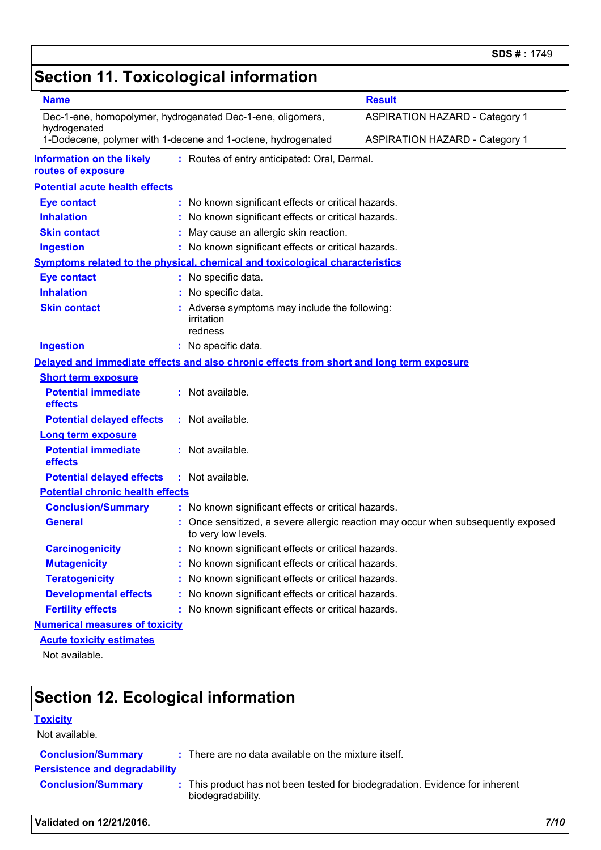## **Section 11. Toxicological information**

| <b>Name</b>                                            |                                                                                          | <b>Result</b>                                                                   |  |  |
|--------------------------------------------------------|------------------------------------------------------------------------------------------|---------------------------------------------------------------------------------|--|--|
| hydrogenated                                           | Dec-1-ene, homopolymer, hydrogenated Dec-1-ene, oligomers,                               | <b>ASPIRATION HAZARD - Category 1</b>                                           |  |  |
|                                                        | 1-Dodecene, polymer with 1-decene and 1-octene, hydrogenated                             | <b>ASPIRATION HAZARD - Category 1</b>                                           |  |  |
| <b>Information on the likely</b><br>routes of exposure | : Routes of entry anticipated: Oral, Dermal.                                             |                                                                                 |  |  |
| <b>Potential acute health effects</b>                  |                                                                                          |                                                                                 |  |  |
| <b>Eye contact</b>                                     | : No known significant effects or critical hazards.                                      |                                                                                 |  |  |
| <b>Inhalation</b>                                      | : No known significant effects or critical hazards.                                      |                                                                                 |  |  |
| <b>Skin contact</b>                                    | : May cause an allergic skin reaction.                                                   |                                                                                 |  |  |
| <b>Ingestion</b>                                       | : No known significant effects or critical hazards.                                      |                                                                                 |  |  |
|                                                        | <b>Symptoms related to the physical, chemical and toxicological characteristics</b>      |                                                                                 |  |  |
| <b>Eye contact</b>                                     | : No specific data.                                                                      |                                                                                 |  |  |
| <b>Inhalation</b>                                      | : No specific data.                                                                      |                                                                                 |  |  |
| <b>Skin contact</b>                                    | : Adverse symptoms may include the following:<br>irritation<br>redness                   |                                                                                 |  |  |
| <b>Ingestion</b>                                       | : No specific data.                                                                      |                                                                                 |  |  |
|                                                        | Delayed and immediate effects and also chronic effects from short and long term exposure |                                                                                 |  |  |
| <b>Short term exposure</b>                             |                                                                                          |                                                                                 |  |  |
| <b>Potential immediate</b><br>effects                  | : Not available.                                                                         |                                                                                 |  |  |
| <b>Potential delayed effects</b>                       | : Not available.                                                                         |                                                                                 |  |  |
| <b>Long term exposure</b>                              |                                                                                          |                                                                                 |  |  |
| <b>Potential immediate</b><br>effects                  | : Not available.                                                                         |                                                                                 |  |  |
| <b>Potential delayed effects</b>                       | : Not available.                                                                         |                                                                                 |  |  |
| <b>Potential chronic health effects</b>                |                                                                                          |                                                                                 |  |  |
| <b>Conclusion/Summary</b>                              | : No known significant effects or critical hazards.                                      |                                                                                 |  |  |
| <b>General</b>                                         | to very low levels.                                                                      | Once sensitized, a severe allergic reaction may occur when subsequently exposed |  |  |
| <b>Carcinogenicity</b>                                 | : No known significant effects or critical hazards.                                      |                                                                                 |  |  |
| <b>Mutagenicity</b>                                    | No known significant effects or critical hazards.                                        |                                                                                 |  |  |
| <b>Teratogenicity</b>                                  | No known significant effects or critical hazards.                                        |                                                                                 |  |  |
| <b>Developmental effects</b>                           | No known significant effects or critical hazards.                                        |                                                                                 |  |  |
| <b>Fertility effects</b>                               | : No known significant effects or critical hazards.                                      |                                                                                 |  |  |
| <b>Numerical measures of toxicity</b>                  |                                                                                          |                                                                                 |  |  |
| <b>Acute toxicity estimates</b>                        |                                                                                          |                                                                                 |  |  |
| Not available.                                         |                                                                                          |                                                                                 |  |  |

# **Section 12. Ecological information**

#### **Toxicity**

Not available.

| <b>Persistence and degradability</b><br><b>Conclusion/Summary</b> | : This product has not been tested for biodegradation. Evidence for inherent |      |
|-------------------------------------------------------------------|------------------------------------------------------------------------------|------|
|                                                                   | biodegradability.                                                            |      |
| Validated on 12/21/2016.                                          |                                                                              | 7/10 |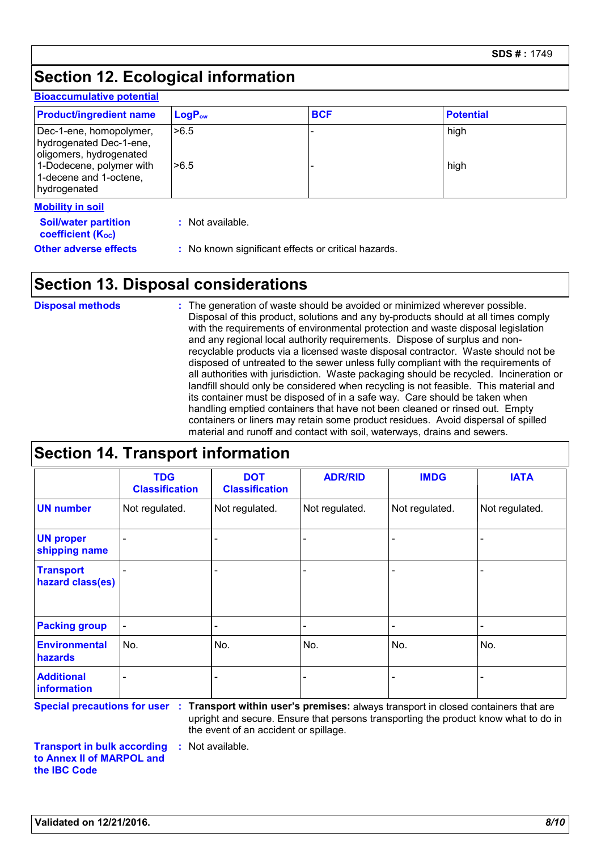## **Section 12. Ecological information**

#### **Bioaccumulative potential**

| <b>Product/ingredient name</b>                                                                                                                      | LogP <sub>ow</sub> | <b>BCF</b> | <b>Potential</b> |
|-----------------------------------------------------------------------------------------------------------------------------------------------------|--------------------|------------|------------------|
| Dec-1-ene, homopolymer,<br>hydrogenated Dec-1-ene,<br>oligomers, hydrogenated<br>1-Dodecene, polymer with<br>1-decene and 1-octene,<br>hydrogenated | >6.5<br>>6.5       |            | high<br>high     |
| <b>Mobility in soil</b><br><b>Soil/water partition</b><br><b>coefficient (Koc)</b>                                                                  | Not available.     |            |                  |

**Other adverse effects** : No known significant effects or critical hazards.

### **Section 13. Disposal considerations**

The generation of waste should be avoided or minimized wherever possible. Disposal of this product, solutions and any by-products should at all times comply with the requirements of environmental protection and waste disposal legislation and any regional local authority requirements. Dispose of surplus and nonrecyclable products via a licensed waste disposal contractor. Waste should not be disposed of untreated to the sewer unless fully compliant with the requirements of all authorities with jurisdiction. Waste packaging should be recycled. Incineration or landfill should only be considered when recycling is not feasible. This material and its container must be disposed of in a safe way. Care should be taken when handling emptied containers that have not been cleaned or rinsed out. Empty containers or liners may retain some product residues. Avoid dispersal of spilled material and runoff and contact with soil, waterways, drains and sewers. **Disposal methods :**

#### **Section 14. Transport information**

|                                      | <b>TDG</b><br><b>Classification</b> | <b>DOT</b><br><b>Classification</b> | <b>ADR/RID</b> | <b>IMDG</b>    | <b>IATA</b>    |
|--------------------------------------|-------------------------------------|-------------------------------------|----------------|----------------|----------------|
| <b>UN number</b>                     | Not regulated.                      | Not regulated.                      | Not regulated. | Not regulated. | Not regulated. |
| <b>UN proper</b><br>shipping name    |                                     |                                     |                |                |                |
| <b>Transport</b><br>hazard class(es) |                                     | $\overline{\phantom{0}}$            |                |                |                |
| <b>Packing group</b>                 | $\overline{\phantom{a}}$            | ٠                                   |                |                |                |
| <b>Environmental</b><br>hazards      | No.                                 | No.                                 | No.            | No.            | No.            |
| <b>Additional</b><br>information     |                                     | $\overline{\phantom{0}}$            |                |                |                |

upright and secure. Ensure that persons transporting the product know what to do in the event of an accident or spillage.

**Transport in bulk according to Annex II of MARPOL and the IBC Code :** Not available.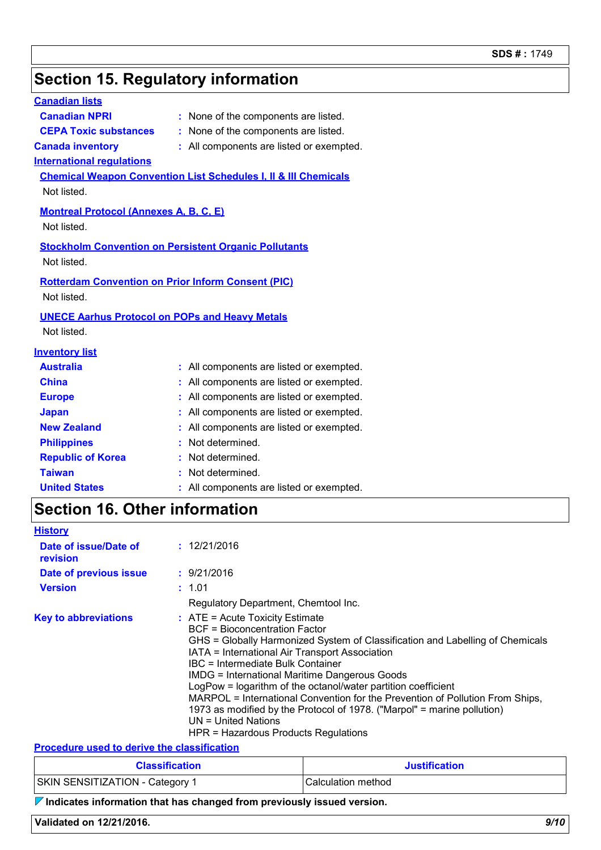### **Section 15. Regulatory information**

| <b>Canadian lists</b>                                                    |                                                                            |
|--------------------------------------------------------------------------|----------------------------------------------------------------------------|
| <b>Canadian NPRI</b>                                                     | : None of the components are listed.                                       |
| <b>CEPA Toxic substances</b>                                             | : None of the components are listed.                                       |
| <b>Canada inventory</b>                                                  | : All components are listed or exempted.                                   |
| <b>International regulations</b>                                         |                                                                            |
|                                                                          | <b>Chemical Weapon Convention List Schedules I, II &amp; III Chemicals</b> |
| Not listed.                                                              |                                                                            |
| <b>Montreal Protocol (Annexes A, B, C, E)</b>                            |                                                                            |
| Not listed.                                                              |                                                                            |
|                                                                          | <b>Stockholm Convention on Persistent Organic Pollutants</b>               |
| Not listed.                                                              |                                                                            |
|                                                                          |                                                                            |
| <b>Rotterdam Convention on Prior Inform Consent (PIC)</b><br>Not listed. |                                                                            |
|                                                                          |                                                                            |
| <b>UNECE Aarhus Protocol on POPs and Heavy Metals</b>                    |                                                                            |
| Not listed.                                                              |                                                                            |
| <b>Inventory list</b>                                                    |                                                                            |
| <b>Australia</b>                                                         | : All components are listed or exempted.                                   |
| <b>China</b>                                                             | : All components are listed or exempted.                                   |
| <b>Europe</b>                                                            | : All components are listed or exempted.                                   |
| <b>Japan</b>                                                             | : All components are listed or exempted.                                   |
| <b>New Zealand</b>                                                       | : All components are listed or exempted.                                   |
| <b>Philippines</b>                                                       | Not determined.<br>÷.                                                      |
| <b>Republic of Korea</b>                                                 | Not determined.                                                            |
| <b>Taiwan</b>                                                            | Not determined.                                                            |
| <b>United States</b>                                                     | : All components are listed or exempted.                                   |
| <b>Section 16. Other information</b>                                     |                                                                            |
| <b>History</b>                                                           |                                                                            |
| Date of issue/Date of                                                    | : 12/21/2016                                                               |
| revision                                                                 |                                                                            |
| Date of previous issue                                                   | : 9/21/2016                                                                |
| <b>Version</b>                                                           | : 1.01                                                                     |

| <b>Version</b>              | : 1.01                                                                                                                                                                                                                                                                                                                                                                                                                                                                                                                                                                                         |
|-----------------------------|------------------------------------------------------------------------------------------------------------------------------------------------------------------------------------------------------------------------------------------------------------------------------------------------------------------------------------------------------------------------------------------------------------------------------------------------------------------------------------------------------------------------------------------------------------------------------------------------|
|                             | Regulatory Department, Chemtool Inc.                                                                                                                                                                                                                                                                                                                                                                                                                                                                                                                                                           |
| <b>Key to abbreviations</b> | $:$ ATE = Acute Toxicity Estimate<br>BCF = Bioconcentration Factor<br>GHS = Globally Harmonized System of Classification and Labelling of Chemicals<br>IATA = International Air Transport Association<br>IBC = Intermediate Bulk Container<br><b>IMDG = International Maritime Dangerous Goods</b><br>LogPow = logarithm of the octanol/water partition coefficient<br>MARPOL = International Convention for the Prevention of Pollution From Ships,<br>1973 as modified by the Protocol of 1978. ("Marpol" = marine pollution)<br>UN = United Nations<br>HPR = Hazardous Products Regulations |

**Procedure used to derive the classification**

| <b>Classification</b>           | <b>Justification</b> |
|---------------------------------|----------------------|
| SKIN SENSITIZATION - Category 1 | l Calculation method |

**Indicates information that has changed from previously issued version.**

**Validated on 12/21/2016.** *9/10*